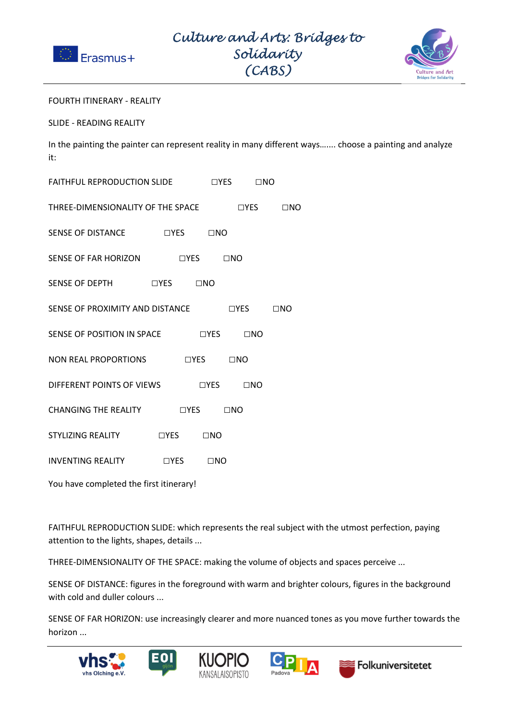



## FOURTH ITINERARY - REALITY

SLIDE - READING REALITY

In the painting the painter can represent reality in many different ways….... choose a painting and analyze it:

| FAITHFUL REPRODUCTION SLIDE THES TIME                   |  |                      |  |  |  |  |
|---------------------------------------------------------|--|----------------------|--|--|--|--|
| THREE-DIMENSIONALITY OF THE SPACE □YES □NO              |  |                      |  |  |  |  |
| SENSE OF DISTANCE DYES DNO                              |  |                      |  |  |  |  |
| SENSE OF FAR HORIZON DYES DINO                          |  |                      |  |  |  |  |
| SENSE OF DEPTH UYES UNO                                 |  |                      |  |  |  |  |
| $\Box$ YES $\Box$ NO<br>SENSE OF PROXIMITY AND DISTANCE |  |                      |  |  |  |  |
| SENSE OF POSITION IN SPACE THES TIMES                   |  |                      |  |  |  |  |
| NON REAL PROPORTIONS                                    |  | $\Box$ YES $\Box$ NO |  |  |  |  |
| DIFFERENT POINTS OF VIEWS □YES □NO                      |  |                      |  |  |  |  |
| CHANGING THE REALITY THES TIMO                          |  |                      |  |  |  |  |
| STYLIZING REALITY                                       |  | $\Box$ YES $\Box$ NO |  |  |  |  |
| INVENTING REALITY TYES TINO                             |  |                      |  |  |  |  |
| You have completed the first itinerary!                 |  |                      |  |  |  |  |

FAITHFUL REPRODUCTION SLIDE: which represents the real subject with the utmost perfection, paying attention to the lights, shapes, details ...

THREE-DIMENSIONALITY OF THE SPACE: making the volume of objects and spaces perceive ...

SENSE OF DISTANCE: figures in the foreground with warm and brighter colours, figures in the background with cold and duller colours ...

SENSE OF FAR HORIZON: use increasingly clearer and more nuanced tones as you move further towards the horizon ...